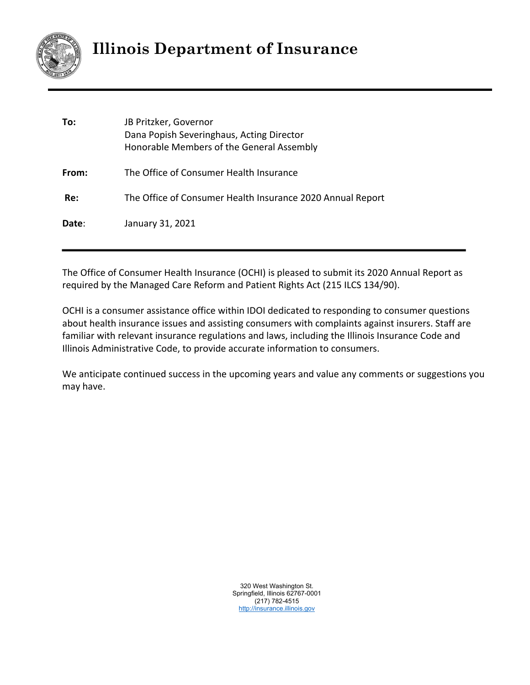

# **Illinois Department of Insurance**

| To:   | JB Pritzker, Governor<br>Dana Popish Severinghaus, Acting Director<br>Honorable Members of the General Assembly |
|-------|-----------------------------------------------------------------------------------------------------------------|
| From: | The Office of Consumer Health Insurance                                                                         |
| Re:   | The Office of Consumer Health Insurance 2020 Annual Report                                                      |
| Date: | January 31, 2021                                                                                                |

The Office of Consumer Health Insurance (OCHI) is pleased to submit its 2020 Annual Report as required by the Managed Care Reform and Patient Rights Act (215 ILCS 134/90).

OCHI is a consumer assistance office within IDOI dedicated to responding to consumer questions about health insurance issues and assisting consumers with complaints against insurers. Staff are familiar with relevant insurance regulations and laws, including the Illinois Insurance Code and Illinois Administrative Code, to provide accurate information to consumers.

We anticipate continued success in the upcoming years and value any comments or suggestions you may have.

> 320 West Washington St. Springfield, Illinois 62767-0001 (217) 782-4515 http://insurance.illinois.gov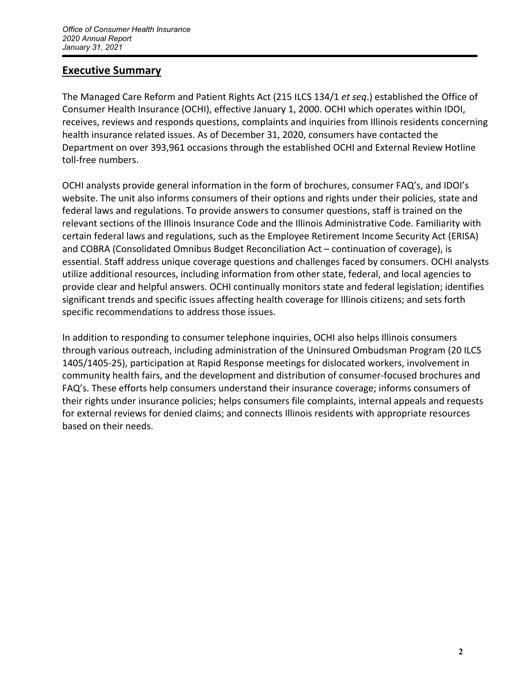### **Executive Summary**

The Managed Care Reform and Patient Rights Act (215 ILCS 134/1 *et seq*.) established the Office of Consumer Health Insurance (OCHI), effective January 1, 2000. OCHI which operates within IDOI, receives, reviews and responds questions, complaints and inquiries from Illinois residents concerning health insurance related issues. As of December 31, 2020, consumers have contacted the Department on over 393,961 occasions through the established OCHI and External Review Hotline toll‐free numbers.

OCHI analysts provide general information in the form of brochures, consumer FAQ's, and IDOI's website. The unit also informs consumers of their options and rights under their policies, state and federal laws and regulations. To provide answers to consumer questions, staff is trained on the relevant sections of the Illinois Insurance Code and the Illinois Administrative Code. Familiarity with certain federal laws and regulations, such as the Employee Retirement Income Security Act (ERISA) and COBRA (Consolidated Omnibus Budget Reconciliation Act – continuation of coverage), is essential. Staff address unique coverage questions and challenges faced by consumers. OCHI analysts utilize additional resources, including information from other state, federal, and local agencies to provide clear and helpful answers. OCHI continually monitors state and federal legislation; identifies significant trends and specific issues affecting health coverage for Illinois citizens; and sets forth specific recommendations to address those issues.

In addition to responding to consumer telephone inquiries, OCHI also helps Illinois consumers through various outreach, including administration of the Uninsured Ombudsman Program (20 ILCS 1405/1405-25), participation at Rapid Response meetings for dislocated workers, involvement in community health fairs, and the development and distribution of consumer‐focused brochures and FAQ's. These efforts help consumers understand their insurance coverage; informs consumers of their rights under insurance policies; helps consumers file complaints, internal appeals and requests for external reviews for denied claims; and connects Illinois residents with appropriate resources based on their needs.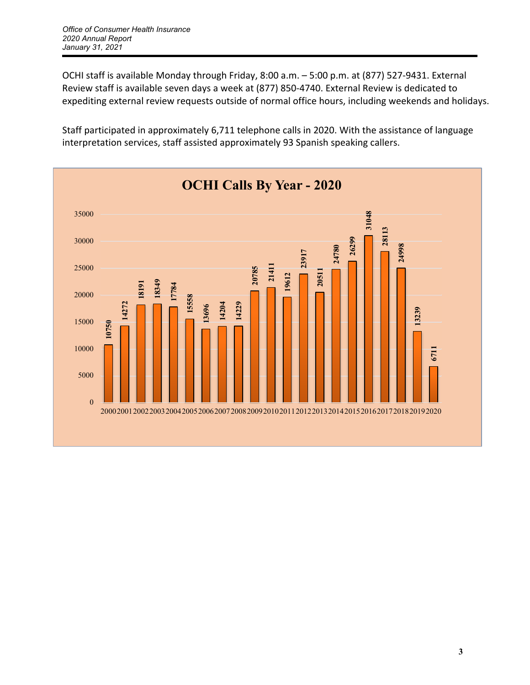OCHI staff is available Monday through Friday, 8:00 a.m. – 5:00 p.m. at (877) 527‐9431. External Review staff is available seven days a week at (877) 850‐4740. External Review is dedicated to expediting external review requests outside of normal office hours, including weekends and holidays.

Staff participated in approximately 6,711 telephone calls in 2020. With the assistance of language interpretation services, staff assisted approximately 93 Spanish speaking callers.

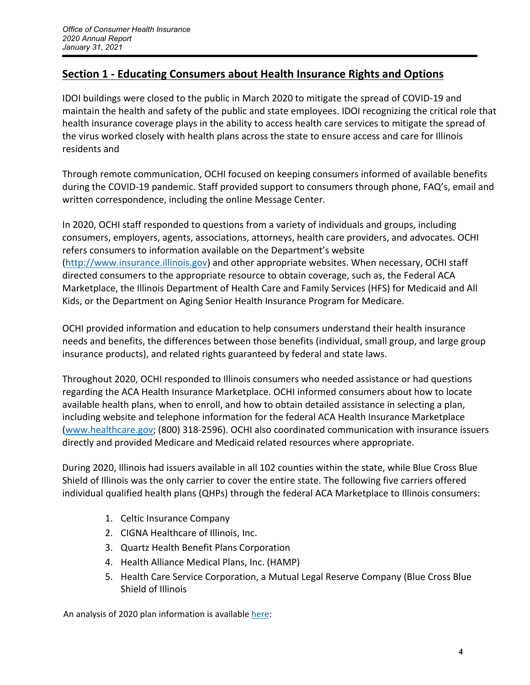### **Section 1 ‐ Educating Consumers about Health Insurance Rights and Options**

IDOI buildings were closed to the public in March 2020 to mitigate the spread of COVID‐19 and maintain the health and safety of the public and state employees. IDOI recognizing the critical role that health insurance coverage plays in the ability to access health care services to mitigate the spread of the virus worked closely with health plans across the state to ensure access and care for Illinois residents and

Through remote communication, OCHI focused on keeping consumers informed of available benefits during the COVID‐19 pandemic. Staff provided support to consumers through phone, FAQ's, email and written correspondence, including the online Message Center.

In 2020, OCHI staff responded to questions from a variety of individuals and groups, including consumers, employers, agents, associations, attorneys, health care providers, and advocates. OCHI refers consumers to information available on the Department's website (http://www.insurance.illinois.gov) and other appropriate websites. When necessary, OCHI staff directed consumers to the appropriate resource to obtain coverage, such as, the Federal ACA Marketplace, the Illinois Department of Health Care and Family Services (HFS) for Medicaid and All Kids, or the Department on Aging Senior Health Insurance Program for Medicare.

OCHI provided information and education to help consumers understand their health insurance needs and benefits, the differences between those benefits (individual, small group, and large group insurance products), and related rights guaranteed by federal and state laws.

Throughout 2020, OCHI responded to Illinois consumers who needed assistance or had questions regarding the ACA Health Insurance Marketplace. OCHI informed consumers about how to locate available health plans, when to enroll, and how to obtain detailed assistance in selecting a plan, including website and telephone information for the federal ACA Health Insurance Marketplace (www.healthcare.gov; (800) 318‐2596). OCHI also coordinated communication with insurance issuers directly and provided Medicare and Medicaid related resources where appropriate.

During 2020, Illinois had issuers available in all 102 counties within the state, while Blue Cross Blue Shield of Illinois was the only carrier to cover the entire state. The following five carriers offered individual qualified health plans (QHPs) through the federal ACA Marketplace to Illinois consumers:

- 1. Celtic Insurance Company
- 2. CIGNA Healthcare of Illinois, Inc.
- 3. Quartz Health Benefit Plans Corporation
- 4. Health Alliance Medical Plans, Inc. (HAMP)
- 5. Health Care Service Corporation, a Mutual Legal Reserve Company (Blue Cross Blue Shield of Illinois

An analysis of 2020 plan information is available here: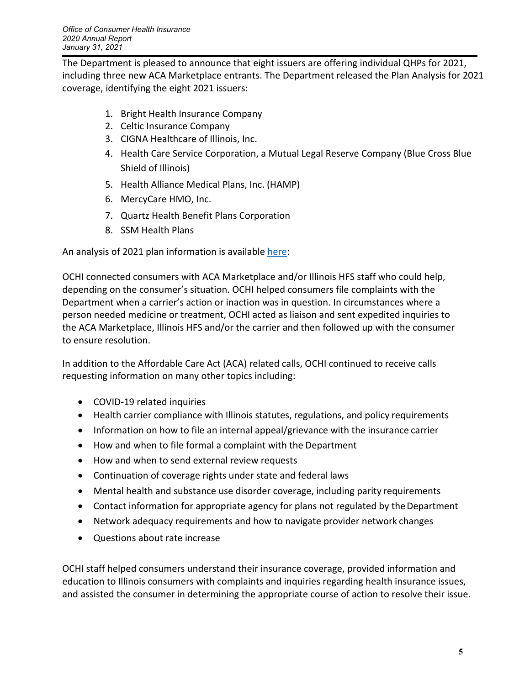The Department is pleased to announce that eight issuers are offering individual QHPs for 2021, including three new ACA Marketplace entrants. The Department released the Plan Analysis for 2021 coverage, identifying the eight 2021 issuers:

- 1. Bright Health Insurance Company
- 2. Celtic Insurance Company
- 3. CIGNA Healthcare of Illinois, Inc.
- 4. Health Care Service Corporation, a Mutual Legal Reserve Company (Blue Cross Blue Shield of Illinois)
- 5. Health Alliance Medical Plans, Inc. (HAMP)
- 6. MercyCare HMO, Inc.
- 7. Quartz Health Benefit Plans Corporation
- 8. SSM Health Plans

An analysis of 2021 plan information is available here:

OCHI connected consumers with ACA Marketplace and/or Illinois HFS staff who could help, depending on the consumer's situation. OCHI helped consumers file complaints with the Department when a carrier's action or inaction was in question. In circumstances where a person needed medicine or treatment, OCHI acted as liaison and sent expedited inquiries to the ACA Marketplace, Illinois HFS and/or the carrier and then followed up with the consumer to ensure resolution.

In addition to the Affordable Care Act (ACA) related calls, OCHI continued to receive calls requesting information on many other topics including:

- COVID-19 related inquiries
- Health carrier compliance with Illinois statutes, regulations, and policy requirements
- Information on how to file an internal appeal/grievance with the insurance carrier
- How and when to file formal a complaint with the Department
- How and when to send external review requests
- Continuation of coverage rights under state and federal laws
- Mental health and substance use disorder coverage, including parity requirements
- Contact information for appropriate agency for plans not regulated by the Department
- Network adequacy requirements and how to navigate provider network changes
- Questions about rate increase

OCHI staff helped consumers understand their insurance coverage, provided information and education to Illinois consumers with complaints and inquiries regarding health insurance issues, and assisted the consumer in determining the appropriate course of action to resolve their issue.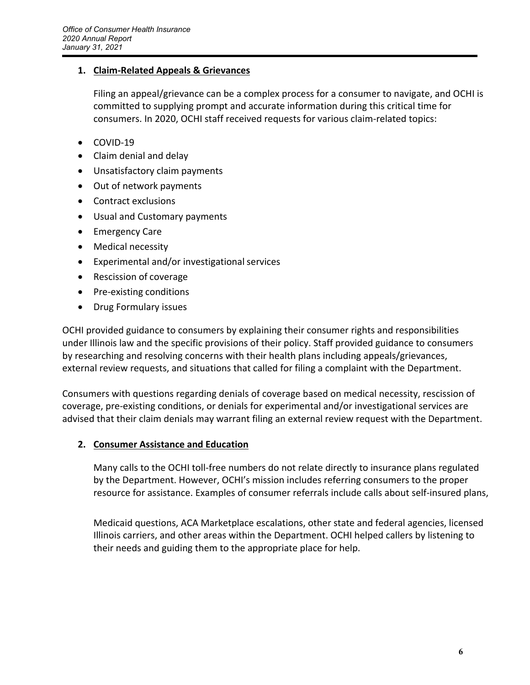### **1. Claim‐Related Appeals & Grievances**

Filing an appeal/grievance can be a complex process for a consumer to navigate, and OCHI is committed to supplying prompt and accurate information during this critical time for consumers. In 2020, OCHI staff received requests for various claim‐related topics:

- COVID-19
- Claim denial and delay
- Unsatisfactory claim payments
- Out of network payments
- Contract exclusions
- Usual and Customary payments
- Emergency Care
- Medical necessity
- Experimental and/or investigational services
- Rescission of coverage
- Pre-existing conditions
- Drug Formulary issues

OCHI provided guidance to consumers by explaining their consumer rights and responsibilities under Illinois law and the specific provisions of their policy. Staff provided guidance to consumers by researching and resolving concerns with their health plans including appeals/grievances, external review requests, and situations that called for filing a complaint with the Department.

Consumers with questions regarding denials of coverage based on medical necessity, rescission of coverage, pre‐existing conditions, or denials for experimental and/or investigational services are advised that their claim denials may warrant filing an external review request with the Department.

### **2. Consumer Assistance and Education**

Many calls to the OCHI toll‐free numbers do not relate directly to insurance plans regulated by the Department. However, OCHI's mission includes referring consumers to the proper resource for assistance. Examples of consumer referrals include calls about self-insured plans,

Medicaid questions, ACA Marketplace escalations, other state and federal agencies, licensed Illinois carriers, and other areas within the Department. OCHI helped callers by listening to their needs and guiding them to the appropriate place for help.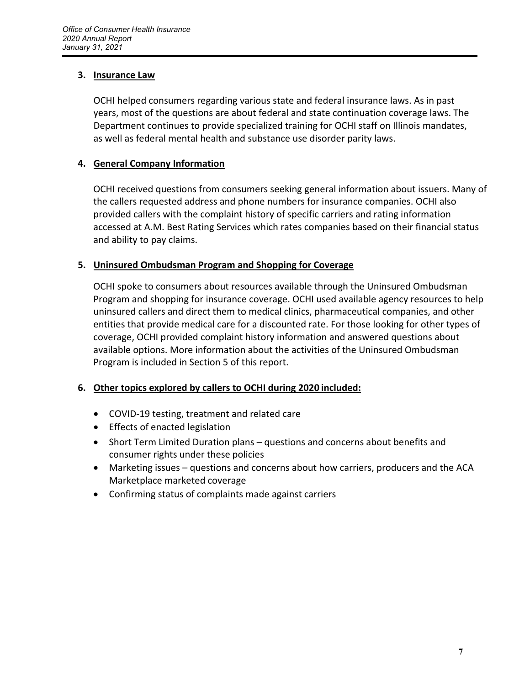#### **3. Insurance Law**

OCHI helped consumers regarding various state and federal insurance laws. As in past years, most of the questions are about federal and state continuation coverage laws. The Department continues to provide specialized training for OCHI staff on Illinois mandates, as well as federal mental health and substance use disorder parity laws.

### **4. General Company Information**

OCHI received questions from consumers seeking general information about issuers. Many of the callers requested address and phone numbers for insurance companies. OCHI also provided callers with the complaint history of specific carriers and rating information accessed at A.M. Best Rating Services which rates companies based on their financial status and ability to pay claims.

### **5. Uninsured Ombudsman Program and Shopping for Coverage**

OCHI spoke to consumers about resources available through the Uninsured Ombudsman Program and shopping for insurance coverage. OCHI used available agency resources to help uninsured callers and direct them to medical clinics, pharmaceutical companies, and other entities that provide medical care for a discounted rate. For those looking for other types of coverage, OCHI provided complaint history information and answered questions about available options. More information about the activities of the Uninsured Ombudsman Program is included in Section 5 of this report.

### **6. Other topics explored by callers to OCHI during 2020 included:**

- COVID-19 testing, treatment and related care
- **•** Effects of enacted legislation
- Short Term Limited Duration plans questions and concerns about benefits and consumer rights under these policies
- Marketing issues questions and concerns about how carriers, producers and the ACA Marketplace marketed coverage
- Confirming status of complaints made against carriers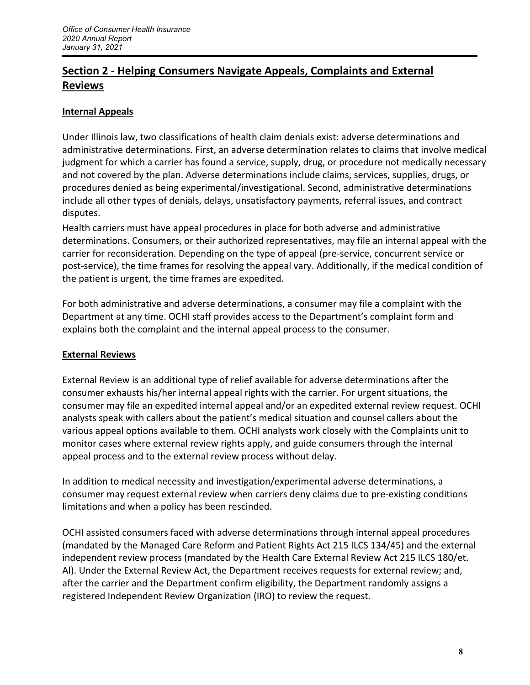## **Section 2 ‐ Helping Consumers Navigate Appeals, Complaints and External Reviews**

### **Internal Appeals**

Under Illinois law, two classifications of health claim denials exist: adverse determinations and administrative determinations. First, an adverse determination relates to claims that involve medical judgment for which a carrier has found a service, supply, drug, or procedure not medically necessary and not covered by the plan. Adverse determinations include claims, services, supplies, drugs, or procedures denied as being experimental/investigational. Second, administrative determinations include all other types of denials, delays, unsatisfactory payments, referral issues, and contract disputes.

Health carriers must have appeal procedures in place for both adverse and administrative determinations. Consumers, or their authorized representatives, may file an internal appeal with the carrier for reconsideration. Depending on the type of appeal (pre‐service, concurrent service or post-service), the time frames for resolving the appeal vary. Additionally, if the medical condition of the patient is urgent, the time frames are expedited.

For both administrative and adverse determinations, a consumer may file a complaint with the Department at any time. OCHI staff provides access to the Department's complaint form and explains both the complaint and the internal appeal process to the consumer.

### **External Reviews**

External Review is an additional type of relief available for adverse determinations after the consumer exhausts his/her internal appeal rights with the carrier. For urgent situations, the consumer may file an expedited internal appeal and/or an expedited external review request. OCHI analysts speak with callers about the patient's medical situation and counsel callers about the various appeal options available to them. OCHI analysts work closely with the Complaints unit to monitor cases where external review rights apply, and guide consumers through the internal appeal process and to the external review process without delay.

In addition to medical necessity and investigation/experimental adverse determinations, a consumer may request external review when carriers deny claims due to pre‐existing conditions limitations and when a policy has been rescinded.

OCHI assisted consumers faced with adverse determinations through internal appeal procedures (mandated by the Managed Care Reform and Patient Rights Act 215 ILCS 134/45) and the external independent review process (mandated by the Health Care External Review Act 215 ILCS 180/et. Al). Under the External Review Act, the Department receives requests for external review; and, after the carrier and the Department confirm eligibility, the Department randomly assigns a registered Independent Review Organization (IRO) to review the request.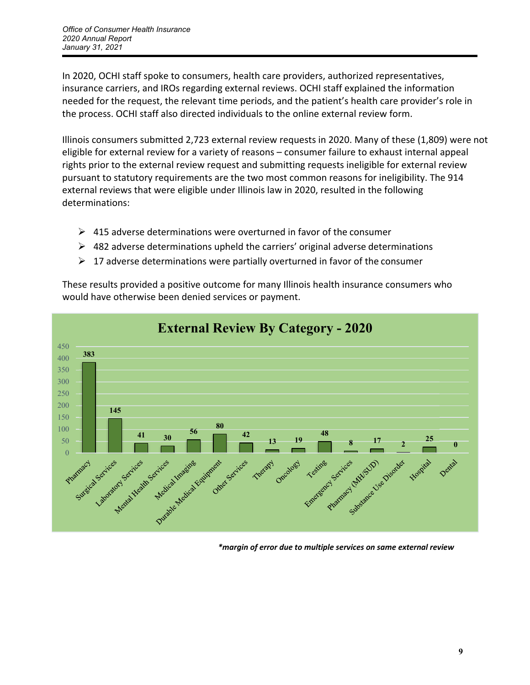In 2020, OCHI staff spoke to consumers, health care providers, authorized representatives, insurance carriers, and IROs regarding external reviews. OCHI staff explained the information needed for the request, the relevant time periods, and the patient's health care provider's role in the process. OCHI staff also directed individuals to the online external review form.

Illinois consumers submitted 2,723 external review requests in 2020. Many of these (1,809) were not eligible for external review for a variety of reasons – consumer failure to exhaust internal appeal rights prior to the external review request and submitting requests ineligible for external review pursuant to statutory requirements are the two most common reasons for ineligibility. The 914 external reviews that were eligible under Illinois law in 2020, resulted in the following determinations:

- $\triangleright$  415 adverse determinations were overturned in favor of the consumer
- $\triangleright$  482 adverse determinations upheld the carriers' original adverse determinations
- $\geq 17$  adverse determinations were partially overturned in favor of the consumer

These results provided a positive outcome for many Illinois health insurance consumers who would have otherwise been denied services or payment.



*\*margin of error due to multiple services on same external review*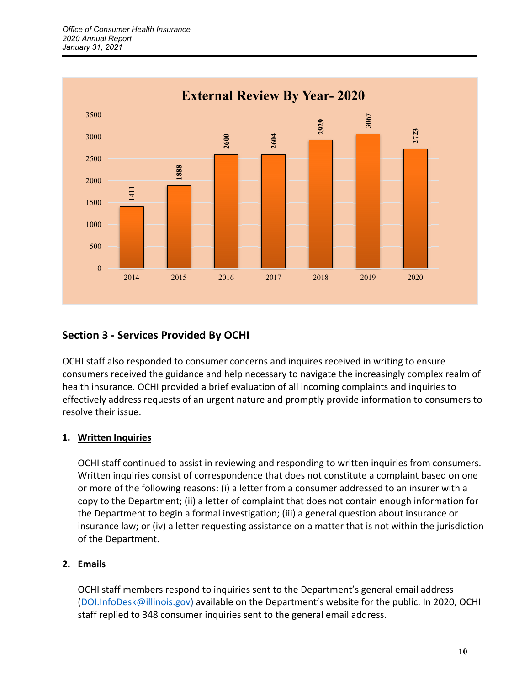

### **Section 3 ‐ Services Provided By OCHI**

OCHI staff also responded to consumer concerns and inquires received in writing to ensure consumers received the guidance and help necessary to navigate the increasingly complex realm of health insurance. OCHI provided a brief evaluation of all incoming complaints and inquiries to effectively address requests of an urgent nature and promptly provide information to consumers to resolve their issue.

### **1. Written Inquiries**

OCHI staff continued to assist in reviewing and responding to written inquiries from consumers. Written inquiries consist of correspondence that does not constitute a complaint based on one or more of the following reasons: (i) a letter from a consumer addressed to an insurer with a copy to the Department; (ii) a letter of complaint that does not contain enough information for the Department to begin a formal investigation; (iii) a general question about insurance or insurance law; or (iv) a letter requesting assistance on a matter that is not within the jurisdiction of the Department.

### **2. Emails**

OCHI staff members respond to inquiries sent to the Department's general email address (DOI.InfoDesk@illinois.gov) available on the Department's website for the public. In 2020, OCHI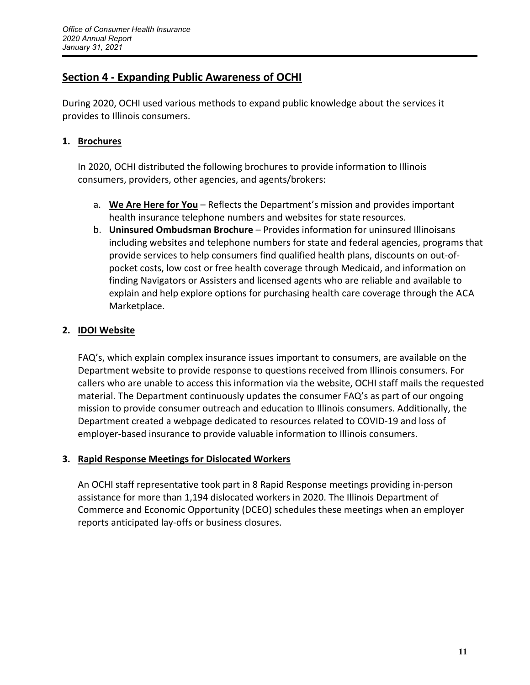### **Section 4 ‐ Expanding Public Awareness of OCHI**

During 2020, OCHI used various methods to expand public knowledge about the services it provides to Illinois consumers.

#### **1. Brochures**

In 2020, OCHI distributed the following brochures to provide information to Illinois consumers, providers, other agencies, and agents/brokers:

- a. **We Are Here for You** Reflects the Department's mission and provides important health insurance telephone numbers and websites for state resources.
- b. **Uninsured Ombudsman Brochure** Provides information for uninsured Illinoisans including websites and telephone numbers for state and federal agencies, programs that provide services to help consumers find qualified health plans, discounts on out‐of‐ pocket costs, low cost or free health coverage through Medicaid, and information on finding Navigators or Assisters and licensed agents who are reliable and available to explain and help explore options for purchasing health care coverage through the ACA Marketplace.

### **2. IDOI Website**

FAQ's, which explain complex insurance issues important to consumers, are available on the Department website to provide response to questions received from Illinois consumers. For callers who are unable to access this information via the website, OCHI staff mails the requested material. The Department continuously updates the consumer FAQ's as part of our ongoing mission to provide consumer outreach and education to Illinois consumers. Additionally, the Department created a webpage dedicated to resources related to COVID‐19 and loss of employer‐based insurance to provide valuable information to Illinois consumers.

#### **3. Rapid Response Meetings for Dislocated Workers**

An OCHI staff representative took part in 8 Rapid Response meetings providing in‐person assistance for more than 1,194 dislocated workers in 2020. The Illinois Department of Commerce and Economic Opportunity (DCEO) schedules these meetings when an employer reports anticipated lay‐offs or business closures.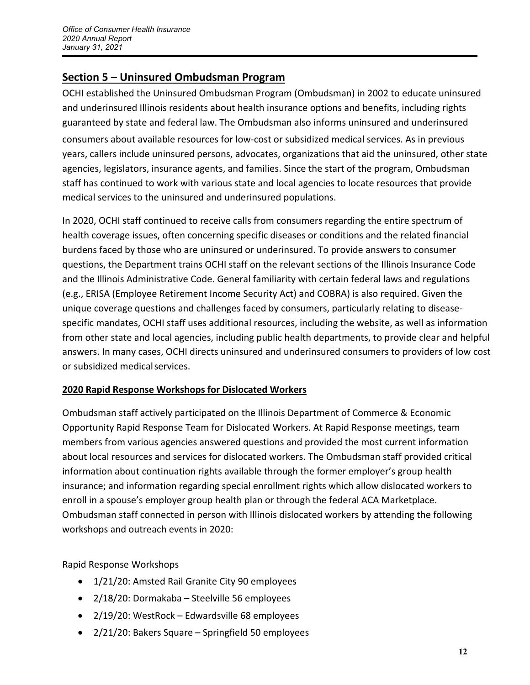### **Section 5 – Uninsured Ombudsman Program**

OCHI established the Uninsured Ombudsman Program (Ombudsman) in 2002 to educate uninsured and underinsured Illinois residents about health insurance options and benefits, including rights guaranteed by state and federal law. The Ombudsman also informs uninsured and underinsured consumers about available resources for low‐cost or subsidized medical services. As in previous years, callers include uninsured persons, advocates, organizations that aid the uninsured, other state agencies, legislators, insurance agents, and families. Since the start of the program, Ombudsman staff has continued to work with various state and local agencies to locate resources that provide medical services to the uninsured and underinsured populations.

In 2020, OCHI staff continued to receive calls from consumers regarding the entire spectrum of health coverage issues, often concerning specific diseases or conditions and the related financial burdens faced by those who are uninsured or underinsured. To provide answers to consumer questions, the Department trains OCHI staff on the relevant sections of the Illinois Insurance Code and the Illinois Administrative Code. General familiarity with certain federal laws and regulations (e.g., ERISA (Employee Retirement Income Security Act) and COBRA) is also required. Given the unique coverage questions and challenges faced by consumers, particularly relating to disease‐ specific mandates, OCHI staff uses additional resources, including the website, as well as information from other state and local agencies, including public health departments, to provide clear and helpful answers. In many cases, OCHI directs uninsured and underinsured consumers to providers of low cost or subsidized medicalservices.

### **2020 Rapid Response Workshops for Dislocated Workers**

Ombudsman staff actively participated on the Illinois Department of Commerce & Economic Opportunity Rapid Response Team for Dislocated Workers. At Rapid Response meetings, team members from various agencies answered questions and provided the most current information about local resources and services for dislocated workers. The Ombudsman staff provided critical information about continuation rights available through the former employer's group health insurance; and information regarding special enrollment rights which allow dislocated workers to enroll in a spouse's employer group health plan or through the federal ACA Marketplace. Ombudsman staff connected in person with Illinois dislocated workers by attending the following workshops and outreach events in 2020:

Rapid Response Workshops

- 1/21/20: Amsted Rail Granite City 90 employees
- 2/18/20: Dormakaba Steelville 56 employees
- 2/19/20: WestRock Edwardsville 68 employees
- 2/21/20: Bakers Square Springfield 50 employees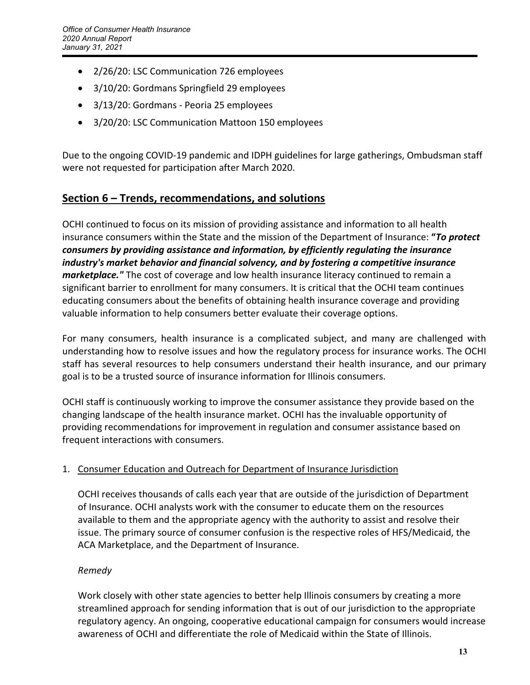- 2/26/20: LSC Communication 726 employees
- 3/10/20: Gordmans Springfield 29 employees
- 3/13/20: Gordmans Peoria 25 employees
- 3/20/20: LSC Communication Mattoon 150 employees

Due to the ongoing COVID‐19 pandemic and IDPH guidelines for large gatherings, Ombudsman staff were not requested for participation after March 2020.

### **Section 6 – Trends, recommendations, and solutions**

OCHI continued to focus on its mission of providing assistance and information to all health insurance consumers within the State and the mission of the Department of Insurance: **"***To protect consumers by providing assistance and information, by efficiently regulating the insurance industry's market behavior and financial solvency, and by fostering a competitive insurance marketplace."* The cost of coverage and low health insurance literacy continued to remain a significant barrier to enrollment for many consumers. It is critical that the OCHI team continues educating consumers about the benefits of obtaining health insurance coverage and providing valuable information to help consumers better evaluate their coverage options.

For many consumers, health insurance is a complicated subject, and many are challenged with understanding how to resolve issues and how the regulatory process for insurance works. The OCHI staff has several resources to help consumers understand their health insurance, and our primary goal is to be a trusted source of insurance information for Illinois consumers.

OCHI staff is continuously working to improve the consumer assistance they provide based on the changing landscape of the health insurance market. OCHI has the invaluable opportunity of providing recommendations for improvement in regulation and consumer assistance based on frequent interactions with consumers.

### 1. Consumer Education and Outreach for Department of Insurance Jurisdiction

OCHI receives thousands of calls each year that are outside of the jurisdiction of Department of Insurance. OCHI analysts work with the consumer to educate them on the resources available to them and the appropriate agency with the authority to assist and resolve their issue. The primary source of consumer confusion is the respective roles of HFS/Medicaid, the ACA Marketplace, and the Department of Insurance.

### *Remedy*

Work closely with other state agencies to better help Illinois consumers by creating a more streamlined approach for sending information that is out of our jurisdiction to the appropriate regulatory agency. An ongoing, cooperative educational campaign for consumers would increase awareness of OCHI and differentiate the role of Medicaid within the State of Illinois.